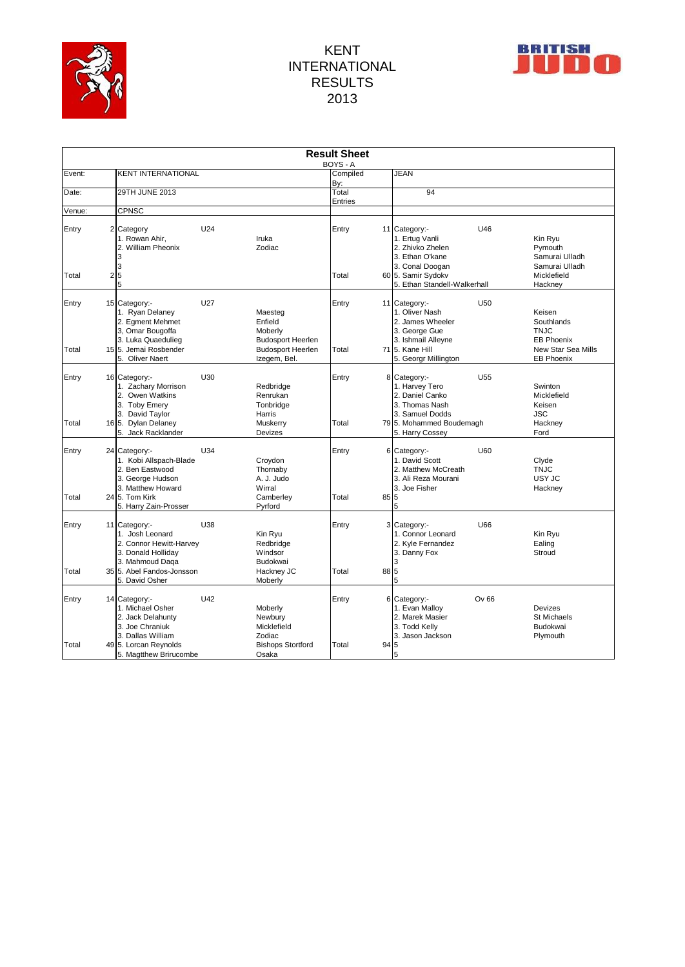



|                |                                                                                                                                                                     |     |                                                                                                       | <b>Result Sheet</b><br>BOYS - A |           |                                                                                                                                       |                 |                                                                                                     |
|----------------|---------------------------------------------------------------------------------------------------------------------------------------------------------------------|-----|-------------------------------------------------------------------------------------------------------|---------------------------------|-----------|---------------------------------------------------------------------------------------------------------------------------------------|-----------------|-----------------------------------------------------------------------------------------------------|
| Event:         | <b>KENT INTERNATIONAL</b>                                                                                                                                           |     |                                                                                                       | Compiled                        |           | <b>JEAN</b>                                                                                                                           |                 |                                                                                                     |
| Date:          | 29TH JUNE 2013                                                                                                                                                      |     |                                                                                                       | By:<br>Total<br><b>Entries</b>  |           | 94                                                                                                                                    |                 |                                                                                                     |
| Venue:         | CPNSC                                                                                                                                                               |     |                                                                                                       |                                 |           |                                                                                                                                       |                 |                                                                                                     |
| Entry          | 2 Category<br>1. Rowan Ahir,<br>2. William Pheonix<br>3<br>3                                                                                                        | U24 | Iruka<br>Zodiac                                                                                       | Entry                           |           | 11 Category:-<br>1. Ertug Vanli<br>2. Zhivko Zhelen<br>3. Ethan O'kane<br>3. Conal Doogan                                             | U46             | Kin Ryu<br>Pymouth<br>Samurai Ulladh<br>Samurai Ulladh                                              |
| Total          | 2 <sub>5</sub><br>5                                                                                                                                                 |     |                                                                                                       | Total                           |           | 60 5. Samir Sydokv<br>5. Ethan Standell-Walkerhall                                                                                    |                 | Micklefield<br>Hackney                                                                              |
| Entry<br>Total | 15 Category:-<br>1. Ryan Delaney<br>2. Egment Mehmet<br>3, Omar Bougoffa<br>3. Luka Quaedulieg<br>15 5. Jemai Rosbender<br>5. Oliver Naert                          | U27 | Maesteg<br>Enfield<br>Moberly<br><b>Budosport Heerlen</b><br><b>Budosport Heerlen</b><br>Izegem, Bel. | Entry<br>Total                  |           | 11 Category:-<br>1. Oliver Nash<br>2. James Wheeler<br>3. George Gue<br>3. Ishmail Alleyne<br>71 5. Kane Hill<br>5. Georgr Millington | U <sub>50</sub> | Keisen<br>Southlands<br><b>TNJC</b><br><b>EB Phoenix</b><br>New Star Sea Mills<br><b>EB Phoenix</b> |
| Entry<br>Total | 16 Category:-<br>1. Zachary Morrison<br>2. Owen Watkins<br>3. Toby Emery<br>3. David Taylor<br>16 5. Dylan Delaney<br>5. Jack Racklander                            | U30 | Redbridge<br>Renrukan<br>Tonbridge<br>Harris<br>Muskerry<br>Devizes                                   | Entry<br>Total                  |           | 8 Category:-<br>1. Harvey Tero<br>2. Daniel Canko<br>3. Thomas Nash<br>3. Samuel Dodds<br>79 5. Mohammed Boudemagh<br>5. Harry Cossey | U <sub>55</sub> | Swinton<br>Micklefield<br>Keisen<br><b>JSC</b><br>Hackney<br>Ford                                   |
| Entry<br>Total | 24 Category:-<br>1. Kobi Allspach-Blade<br>2. Ben Eastwood<br>3. George Hudson<br>3. Matthew Howard<br>24 5. Tom Kirk<br>5. Harry Zain-Prosser                      | U34 | Croydon<br>Thornaby<br>A. J. Judo<br>Wirral<br>Camberley<br>Pyrford                                   | Entry<br>Total                  | 6<br>85 5 | Category:-<br>1. David Scott<br>2. Matthew McCreath<br>3. Ali Reza Mourani<br>3. Joe Fisher<br>5                                      | U60             | Clyde<br><b>TNJC</b><br>USY JC<br>Hackney                                                           |
| Entry<br>Total | 11 Category:-<br>1. Josh Leonard<br>2. Connor Hewitt-Harvey<br>3. Donald Holliday<br>3. Mahmoud Daga<br>35 5. Abel Fandos-Jonsson                                   | U38 | Kin Ryu<br>Redbridge<br>Windsor<br>Budokwai<br>Hackney JC                                             | Entry<br>Total                  | 88        | 3 Category:-<br>1. Connor Leonard<br>2. Kyle Fernandez<br>3. Danny Fox<br>5                                                           | U66             | Kin Ryu<br>Ealing<br>Stroud                                                                         |
| Entry<br>Total | 5. David Osher<br>14 Category:-<br>1. Michael Osher<br>2. Jack Delahunty<br>3. Joe Chraniuk<br>3. Dallas William<br>49 5. Lorcan Reynolds<br>5. Magtthew Brirucombe | U42 | Moberly<br>Moberly<br>Newbury<br>Micklefield<br>Zodiac<br><b>Bishops Stortford</b><br>Osaka           | Entry<br>Total                  | 94        | 5<br>6 Category:-<br>1. Evan Mallov<br>2. Marek Masier<br>3. Todd Kelly<br>3. Jason Jackson<br>5<br>5                                 | Ov 66           | Devizes<br><b>St Michaels</b><br>Budokwai<br>Plymouth                                               |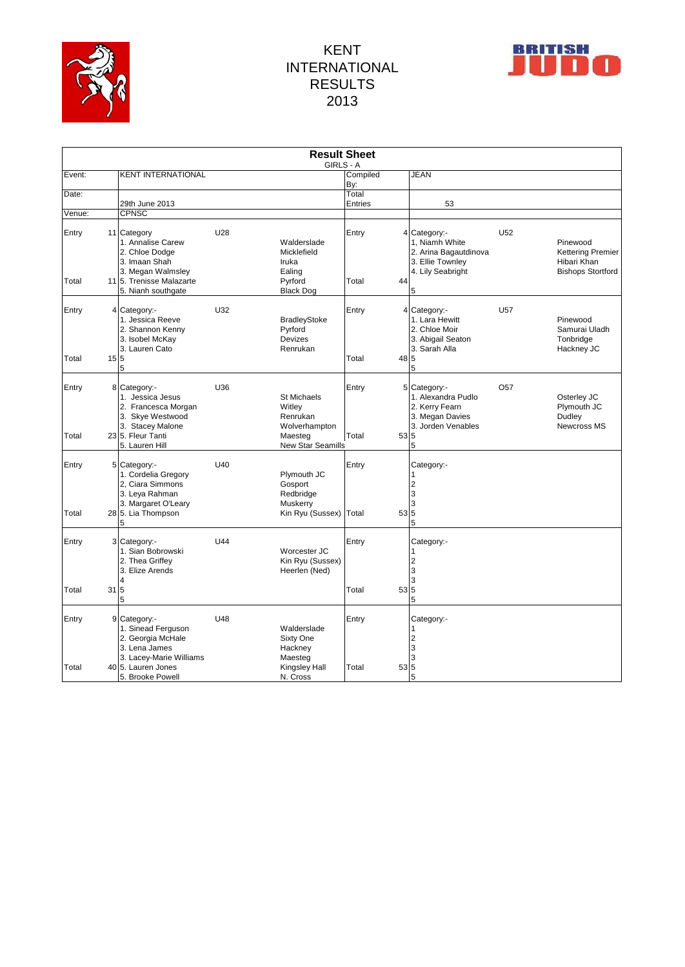



|                |    |                                                                                                                                               |     |                                                                                           | <b>Result Sheet</b><br>GIRLS - A |      |                                                                                                                          |                                                                                 |
|----------------|----|-----------------------------------------------------------------------------------------------------------------------------------------------|-----|-------------------------------------------------------------------------------------------|----------------------------------|------|--------------------------------------------------------------------------------------------------------------------------|---------------------------------------------------------------------------------|
| Event:         |    | <b>KENT INTERNATIONAL</b>                                                                                                                     |     |                                                                                           | Compiled                         |      | JEAN                                                                                                                     |                                                                                 |
|                |    |                                                                                                                                               |     |                                                                                           | By:                              |      |                                                                                                                          |                                                                                 |
| Date:          |    | 29th June 2013                                                                                                                                |     |                                                                                           | Total<br><b>Entries</b>          |      | 53                                                                                                                       |                                                                                 |
| Venue:         |    | <b>CPNSC</b>                                                                                                                                  |     |                                                                                           |                                  |      |                                                                                                                          |                                                                                 |
|                |    |                                                                                                                                               |     |                                                                                           |                                  |      |                                                                                                                          |                                                                                 |
| Entry<br>Total |    | 11 Category<br>1. Annalise Carew<br>2. Chloe Dodge<br>3. Imaan Shah<br>3. Megan Walmsley<br>11 5. Trenisse Malazarte<br>5. Nianh southgate    | U28 | Walderslade<br>Micklefield<br>Iruka<br>Ealing<br>Pyrford<br><b>Black Dog</b>              | Entry<br>Total                   | 44   | U <sub>52</sub><br>4 Category:-<br>1, Niamh White<br>2. Arina Bagautdinova<br>3. Ellie Townley<br>4. Lily Seabright<br>5 | Pinewood<br><b>Kettering Premier</b><br>Hibari Khan<br><b>Bishops Stortford</b> |
| Entry<br>Total | 15 | 4 Category:-<br>1. Jessica Reeve<br>2. Shannon Kenny<br>3. Isobel McKay<br>3. Lauren Cato<br>5<br>5                                           | U32 | <b>BradleyStoke</b><br>Pyrford<br>Devizes<br>Renrukan                                     | Entry<br>Total                   | 48   | <b>U57</b><br>4 Category:-<br>1. Lara Hewitt<br>2. Chloe Moir<br>3. Abigail Seaton<br>3. Sarah Alla<br>5<br>5            | Pinewood<br>Samurai Uladh<br>Tonbridge<br>Hackney JC                            |
| Entry<br>Total |    | 8 Category:-<br>1. Jessica Jesus<br>2. Francesca Morgan<br>3. Skye Westwood<br>3. Stacey Malone<br>23 5. Fleur Tanti<br>5. Lauren Hill        | U36 | St Michaels<br>Witley<br>Renrukan<br>Wolverhampton<br>Maesteg<br><b>New Star Seamills</b> | Entry<br>Total                   | 535  | O <sub>57</sub><br>5 Category:-<br>1. Alexandra Pudlo<br>2. Kerry Fearn<br>3. Megan Davies<br>3. Jorden Venables<br>5    | Osterley JC<br>Plymouth JC<br>Dudley<br><b>Newcross MS</b>                      |
| Entry<br>Total |    | 5 Category:-<br>1. Cordelia Gregory<br>2, Ciara Simmons<br>3. Leya Rahman<br>3. Margaret O'Leary<br>28 5. Lia Thompson<br>5                   | U40 | Plymouth JC<br>Gosport<br>Redbridge<br>Muskerry<br>Kin Ryu (Sussex)                       | Entry<br>Total                   | 53   | Category:-<br>1<br>$\overline{2}$<br>3<br>3<br>5<br>5                                                                    |                                                                                 |
| Entry          |    | 3 Category:-<br>1. Sian Bobrowski<br>2. Thea Griffey<br>3. Elize Arends<br>4                                                                  | U44 | Worcester JC<br>Kin Ryu (Sussex)<br>Heerlen (Ned)                                         | Entry                            |      | Category:-<br>$\overline{2}$<br>3<br>3                                                                                   |                                                                                 |
| Total          | 31 | 5<br>5                                                                                                                                        |     |                                                                                           | Total                            | 53 5 | 5                                                                                                                        |                                                                                 |
| Entry<br>Total |    | 9 Category:-<br>1. Sinead Ferguson<br>2. Georgia McHale<br>3. Lena James<br>3. Lacey-Marie Williams<br>40 5. Lauren Jones<br>5. Brooke Powell | U48 | Walderslade<br>Sixty One<br>Hackney<br>Maesteg<br>Kingsley Hall<br>N. Cross               | Entry<br>Total                   | 53 5 | Category:-<br>1<br>$\overline{c}$<br>3<br>3<br>5                                                                         |                                                                                 |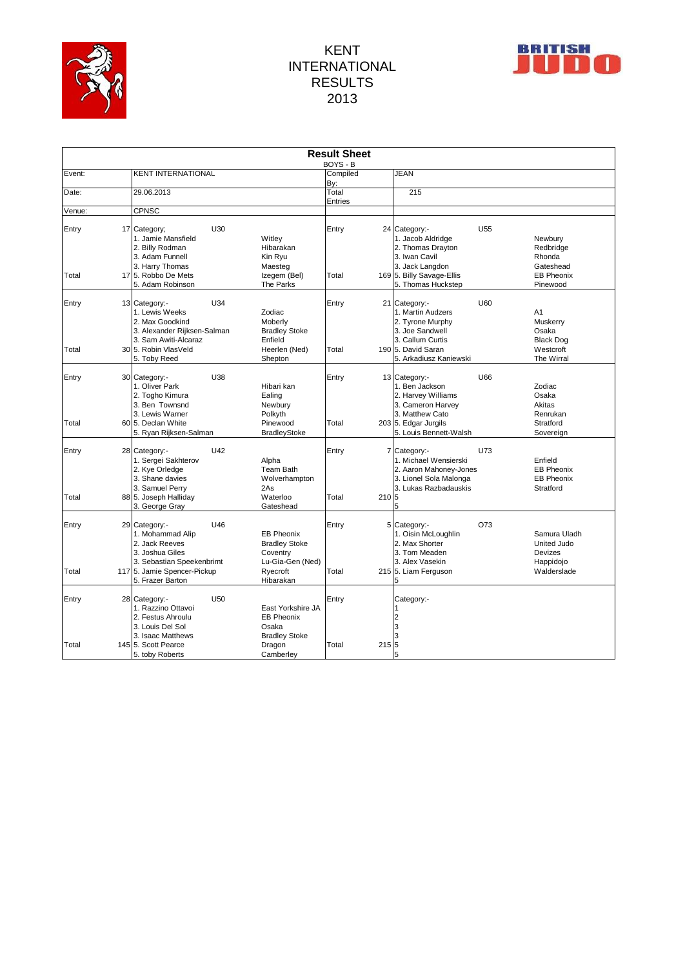



|                |                                                                                                                                   |                                                                           | <b>Result Sheet</b>     |       |                                                                                                                                |                                                                |
|----------------|-----------------------------------------------------------------------------------------------------------------------------------|---------------------------------------------------------------------------|-------------------------|-------|--------------------------------------------------------------------------------------------------------------------------------|----------------------------------------------------------------|
|                |                                                                                                                                   |                                                                           | BOYS - B                |       |                                                                                                                                |                                                                |
| Event:         | <b>KENT INTERNATIONAL</b>                                                                                                         |                                                                           | Compiled<br>Bv:         |       | <b>JEAN</b>                                                                                                                    |                                                                |
| Date:          | 29.06.2013                                                                                                                        |                                                                           | Total<br><b>Entries</b> |       | 215                                                                                                                            |                                                                |
| Venue:         | <b>CPNSC</b>                                                                                                                      |                                                                           |                         |       |                                                                                                                                |                                                                |
| Entry          | U30<br>17 Category;<br>1. Jamie Mansfield<br>2. Billy Rodman<br>3. Adam Funnell                                                   | Witley<br>Hibarakan<br>Kin Ryu                                            | Entry                   |       | 24 Category:-<br>U <sub>55</sub><br>1. Jacob Aldridge<br>2. Thomas Drayton<br>3. Iwan Cavil                                    | Newbury<br>Redbridge<br>Rhonda                                 |
| Total          | 3. Harry Thomas<br>17 5. Robbo De Mets<br>5. Adam Robinson                                                                        | Maesteg<br>Izegem (Bel)<br>The Parks                                      | Total                   |       | 3. Jack Langdon<br>169 5. Billy Savage-Ellis<br>5. Thomas Huckstep                                                             | Gateshead<br><b>EB Pheonix</b><br>Pinewood                     |
| Entry          | U34<br>13 Category:-<br>1. Lewis Weeks<br>2. Max Goodkind<br>3. Alexander Rijksen-Salman<br>3. Sam Awiti-Alcaraz                  | Zodiac<br>Moberly<br><b>Bradley Stoke</b><br>Enfield                      | Entry                   |       | U60<br>21 Category:-<br>1. Martin Audzers<br>2. Tyrone Murphy<br>3. Joe Sandwell<br>3. Callum Curtis                           | A <sub>1</sub><br>Muskerry<br>Osaka<br><b>Black Dog</b>        |
| Total          | 30 5. Robin VlasVeld<br>5. Toby Reed                                                                                              | Heerlen (Ned)<br>Shepton                                                  | Total                   |       | 190 5. David Saran<br>5. Arkadiusz Kaniewski                                                                                   | Westcroft<br>The Wirral                                        |
| Entry<br>Total | U38<br>30 Category:-<br>1. Oliver Park<br>2. Togho Kimura<br>3. Ben Townsnd<br>3. Lewis Warner<br>60 <sub>15</sub> . Declan White | Hibari kan<br>Ealing<br>Newbury<br>Polkyth<br>Pinewood                    | Entry<br>Total          |       | U66<br>13 Category:-<br>1. Ben Jackson<br>2. Harvey Williams<br>3. Cameron Harvey<br>3. Matthew Cato<br>203 5. Edgar Jurgils   | Zodiac<br>Osaka<br>Akitas<br>Renrukan<br>Stratford             |
|                | 5. Ryan Rijksen-Salman                                                                                                            | <b>BradleyStoke</b>                                                       |                         |       | 5. Louis Bennett-Walsh                                                                                                         | Sovereign                                                      |
| Entry          | U42<br>28 Category:-<br>1. Sergei Sakhterov<br>2. Kye Orledge<br>3. Shane davies<br>3. Samuel Perry                               | Alpha<br><b>Team Bath</b><br>Wolverhampton<br>2As                         | Entry                   | 7     | <b>U73</b><br>Category:-<br>1. Michael Wensierski<br>2. Aaron Mahoney-Jones<br>3. Lionel Sola Malonga<br>3. Lukas Razbadauskis | Enfield<br><b>EB Pheonix</b><br><b>EB Pheonix</b><br>Stratford |
| Total          | 88 5. Joseph Halliday<br>3. George Gray                                                                                           | Waterloo<br>Gateshead                                                     | Total                   | 210 5 | 5                                                                                                                              |                                                                |
| Entry          | 29 Category:-<br>U46<br>1. Mohammad Alip<br>2. Jack Reeves<br>3. Joshua Giles<br>3. Sebastian Speekenbrimt                        | <b>EB Pheonix</b><br><b>Bradley Stoke</b><br>Coventry<br>Lu-Gia-Gen (Ned) | Entry                   |       | O73<br>5 Category:-<br>1. Oisin McLoughlin<br>2. Max Shorter<br>3. Tom Meaden<br>3. Alex Vasekin                               | Samura Uladh<br><b>United Judo</b><br>Devizes<br>Happidojo     |
| Total          | 117 5. Jamie Spencer-Pickup<br>5. Frazer Barton                                                                                   | Ryecroft<br>Hibarakan                                                     | Total                   |       | 215 5. Liam Ferguson<br>5                                                                                                      | Walderslade                                                    |
| Entry          | U <sub>50</sub><br>28 Category:-<br>1. Razzino Ottavoi<br>2. Festus Ahroulu<br>3. Louis Del Sol<br>3. Isaac Matthews              | East Yorkshire JA<br><b>EB Pheonix</b><br>Osaka<br><b>Bradley Stoke</b>   | Entry                   |       | Category:-<br>2<br>3<br>3                                                                                                      |                                                                |
| Total          | 145 5. Scott Pearce<br>5. toby Roberts                                                                                            | Dragon<br>Camberley                                                       | Total                   | 215   | 5<br>5                                                                                                                         |                                                                |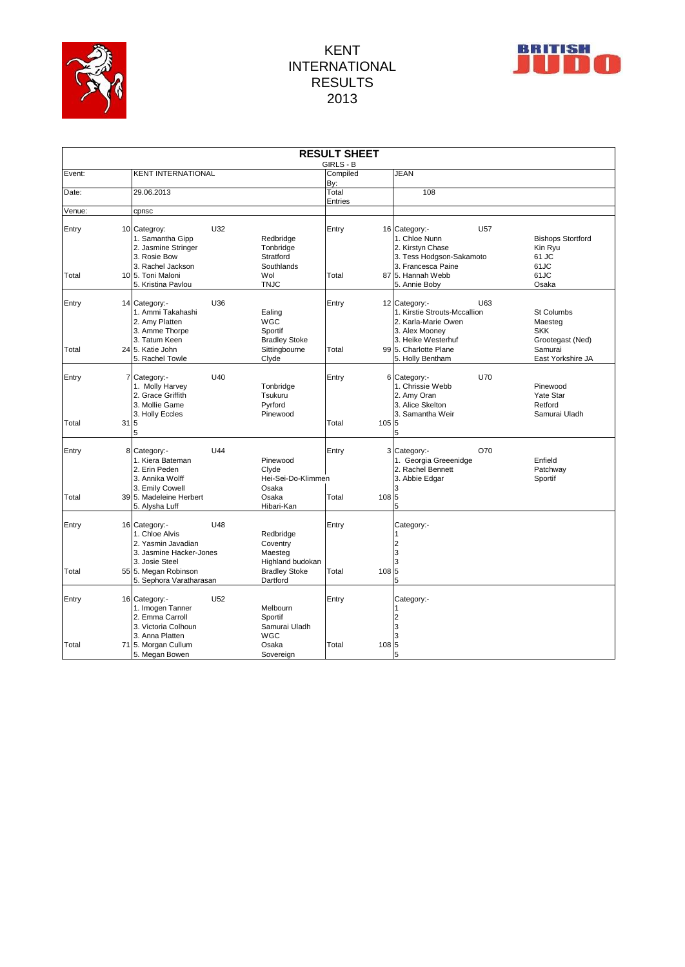



|                | <b>RESULT SHEET</b>               |                                                                                                                                  |                 |                                                                                   |                  |       |                                                                                                                                                                  |                                                                                         |
|----------------|-----------------------------------|----------------------------------------------------------------------------------------------------------------------------------|-----------------|-----------------------------------------------------------------------------------|------------------|-------|------------------------------------------------------------------------------------------------------------------------------------------------------------------|-----------------------------------------------------------------------------------------|
|                |                                   |                                                                                                                                  |                 |                                                                                   | GIRLS - B        |       |                                                                                                                                                                  |                                                                                         |
| Event:         |                                   | <b>KENT INTERNATIONAL</b>                                                                                                        |                 |                                                                                   | Compiled<br>By:  |       | <b>JEAN</b>                                                                                                                                                      |                                                                                         |
| Date:          |                                   | 29.06.2013                                                                                                                       |                 |                                                                                   | Total<br>Entries |       | 108                                                                                                                                                              |                                                                                         |
| Venue:         | cpnsc                             |                                                                                                                                  |                 |                                                                                   |                  |       |                                                                                                                                                                  |                                                                                         |
| Entry          | 10 Categroy:                      | 1. Samantha Gipp<br>2. Jasmine Stringer<br>3. Rosie Bow                                                                          | U32             | Redbridge<br>Tonbridge<br>Stratford                                               | Entry            |       | U57<br>16 Category:-<br>1. Chloe Nunn<br>2. Kirstyn Chase<br>3. Tess Hodgson-Sakamoto                                                                            | <b>Bishops Stortford</b><br>Kin Ryu<br>61 JC                                            |
| Total          |                                   | 3. Rachel Jackson<br>10 <sub>5</sub> . Toni Maloni<br>5. Kristina Pavlou                                                         |                 | Southlands<br>Wol<br><b>TNJC</b>                                                  | Total            |       | 3. Francesca Paine<br>87 5. Hannah Webb<br>5. Annie Boby                                                                                                         | 61JC<br>61JC<br>Osaka                                                                   |
| Entry<br>Total | 14 Category:-<br>24 5. Katie John | 1. Ammi Takahashi<br>2. Amy Platten<br>3. Amme Thorpe<br>3. Tatum Keen<br>5. Rachel Towle                                        | U36             | Ealing<br><b>WGC</b><br>Sportif<br><b>Bradley Stoke</b><br>Sittingbourne<br>Clyde | Entry<br>Total   |       | U63<br>12 Category:-<br>1. Kirstie Strouts-Mccallion<br>2. Karla-Marie Owen<br>3. Alex Moonev<br>3. Heike Westerhuf<br>99 5. Charlotte Plane<br>5. Holly Bentham | St Columbs<br>Maesteg<br><b>SKK</b><br>Grootegast (Ned)<br>Samurai<br>East Yorkshire JA |
| Entry<br>Total | 7 Category:-<br>31 5<br>5         | 1. Molly Harvey<br>2. Grace Griffith<br>3. Mollie Game<br>3. Holly Eccles                                                        | U40             | Tonbridge<br>Tsukuru<br>Pyrford<br>Pinewood                                       | Entry<br>Total   | 105 5 | <b>U70</b><br>6 Category:-<br>1. Chrissie Webb<br>2. Amy Oran<br>3. Alice Skelton<br>3. Samantha Weir<br>5                                                       | Pinewood<br>Yate Star<br>Retford<br>Samurai Uladh                                       |
| Entry<br>Total | 8 Category:-                      | 1. Kiera Bateman<br>2. Erin Peden<br>3. Annika Wolff<br>3. Emily Cowell<br>39 <sub>5</sub> . Madeleine Herbert<br>5. Alysha Luff | U44             | Pinewood<br>Clyde<br>Hei-Sei-Do-Klimmen<br>Osaka<br>Osaka<br>Hibari-Kan           | Entry<br>Total   | 108 5 | O70<br>3 Category:-<br>1. Georgia Greeenidge<br>2. Rachel Bennett<br>3. Abbie Edgar<br>3<br>5                                                                    | Enfield<br>Patchway<br>Sportif                                                          |
| Entry          | 16 Category:-                     | 1. Chloe Alvis<br>2. Yasmin Javadian<br>3. Jasmine Hacker-Jones<br>3. Josie Steel                                                | U48             | Redbridge<br>Coventry<br>Maesteg<br>Highland budokan                              | Entry            |       | Category:-<br>2<br>3<br>3                                                                                                                                        |                                                                                         |
| Total          |                                   | 55 5. Megan Robinson<br>5. Sephora Varatharasan                                                                                  |                 | <b>Bradley Stoke</b><br>Dartford                                                  | Total            | 108 5 | 5                                                                                                                                                                |                                                                                         |
| Entry          | 16 Category:-                     | 1. Imogen Tanner<br>2. Emma Carroll<br>3. Victoria Colhoun<br>3. Anna Platten                                                    | U <sub>52</sub> | Melbourn<br>Sportif<br>Samurai Uladh<br><b>WGC</b>                                | Entry            |       | Category:-<br>$\overline{c}$<br>3<br>3                                                                                                                           |                                                                                         |
| Total          |                                   | 71 5. Morgan Cullum<br>5. Megan Bowen                                                                                            |                 | Osaka<br>Sovereign                                                                | Total            | 108 5 | 5                                                                                                                                                                |                                                                                         |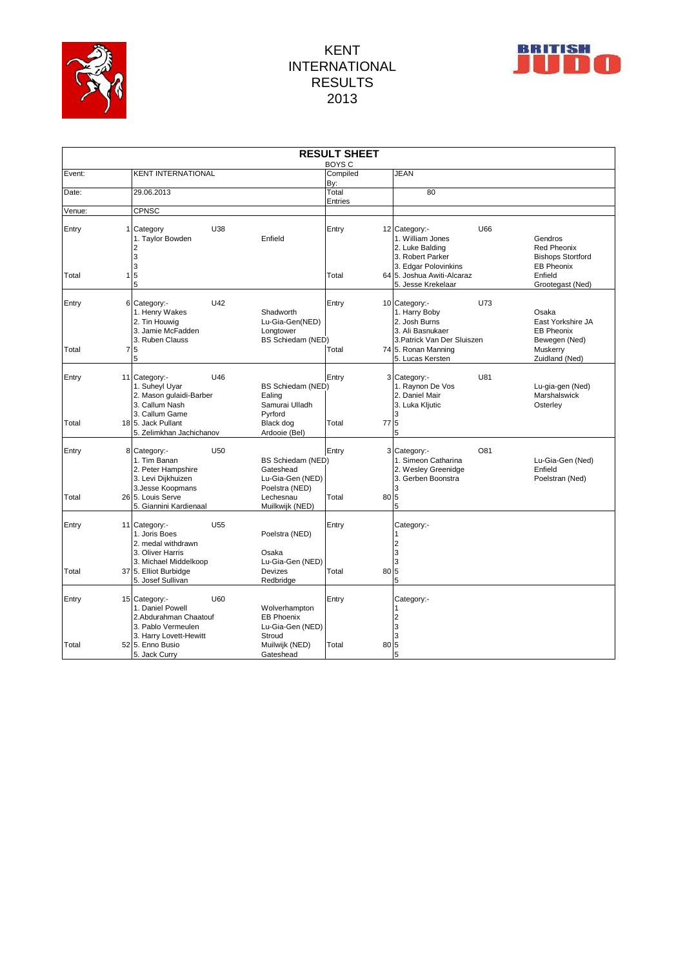



|                |                                                      |                                                                                                           |                 |                                                                                                      | <b>RESULT SHEET</b><br><b>BOYS C</b> |      |                                                                                                                                                             |                                                                                                               |
|----------------|------------------------------------------------------|-----------------------------------------------------------------------------------------------------------|-----------------|------------------------------------------------------------------------------------------------------|--------------------------------------|------|-------------------------------------------------------------------------------------------------------------------------------------------------------------|---------------------------------------------------------------------------------------------------------------|
| Event:         |                                                      | <b>KENT INTERNATIONAL</b>                                                                                 |                 |                                                                                                      | Compiled<br>By:                      |      | <b>JEAN</b>                                                                                                                                                 |                                                                                                               |
| Date:          | 29.06.2013                                           |                                                                                                           |                 |                                                                                                      | Total<br>Entries                     |      | 80                                                                                                                                                          |                                                                                                               |
| Venue:         | CPNSC                                                |                                                                                                           |                 |                                                                                                      |                                      |      |                                                                                                                                                             |                                                                                                               |
| Entry<br>Total | Category<br>2<br>3<br>3<br>$\overline{5}$<br>11<br>5 | 1. Taylor Bowden                                                                                          | U38             | Enfield                                                                                              | Entry<br>Total                       |      | U66<br>12 Category:-<br>1. William Jones<br>2. Luke Balding<br>3. Robert Parker<br>3. Edgar Polovinkins<br>64 5. Joshua Awiti-Alcaraz<br>5. Jesse Krekelaar | Gendros<br><b>Red Pheonix</b><br><b>Bishops Stortford</b><br><b>EB Pheonix</b><br>Enfield<br>Grootegast (Ned) |
| Entry<br>Total | 6 Category:-<br>71<br>5<br>5                         | 1. Henry Wakes<br>2. Tin Houwig<br>3. Jamie McFadden<br>3. Ruben Clauss                                   | U42             | Shadworth<br>Lu-Gia-Gen(NED)<br>Longtower<br>BS Schiedam (NED)                                       | Entry<br>Total                       |      | U73<br>10 Category:-<br>1. Harry Boby<br>2. Josh Burns<br>3. Ali Basnukaer<br>3. Patrick Van Der Sluiszen<br>74 5. Ronan Manning<br>5. Lucas Kersten        | Osaka<br>East Yorkshire JA<br><b>EB Pheonix</b><br>Bewegen (Ned)<br>Muskerry<br>Zuidland (Ned)                |
| Entry<br>Total | 11 Category:-<br>18 5. Jack Pullant                  | 1. Suheyl Uyar<br>2. Mason gulaidi-Barber<br>3. Callum Nash<br>3. Callum Game<br>5. Zelimkhan Jachichanov | U46             | BS Schiedam (NED)<br>Ealing<br>Samurai Ulladh<br>Pyrford<br>Black dog<br>Ardooie (Bel)               | Entry<br>Total                       | 77   | U81<br>3 Category:-<br>1. Raynon De Vos<br>2. Daniel Mair<br>3. Luka Kljutic<br>3<br>5<br>5                                                                 | Lu-gia-gen (Ned)<br>Marshalswick<br>Osterley                                                                  |
| Entry<br>Total | 8<br>Category:-<br>26 5. Louis Serve                 | 1. Tim Banan<br>2. Peter Hampshire<br>3. Levi Dijkhuizen<br>3. Jesse Koopmans<br>5. Giannini Kardienaal   | U50             | BS Schiedam (NED)<br>Gateshead<br>Lu-Gia-Gen (NED)<br>Poelstra (NED)<br>Lechesnau<br>Muilkwijk (NED) | Entry<br>Total                       | 80   | 3 Category:-<br>O81<br>1. Simeon Catharina<br>2. Wesley Greenidge<br>3. Gerben Boonstra<br>3<br>5<br>5                                                      | Lu-Gia-Gen (Ned)<br>Enfield<br>Poelstran (Ned)                                                                |
| Entry          | 11 Category:-                                        | 1. Joris Boes<br>2. medal withdrawn<br>3. Oliver Harris<br>3. Michael Middelkoop                          | U <sub>55</sub> | Poelstra (NED)<br>Osaka<br>Lu-Gia-Gen (NED)                                                          | Entry                                |      | Category:-<br>1<br>2<br>3<br>3                                                                                                                              |                                                                                                               |
| Total          |                                                      | 37 5. Elliot Burbidge<br>5. Josef Sullivan                                                                |                 | Devizes<br>Redbridge                                                                                 | Total                                | 80 5 | 5                                                                                                                                                           |                                                                                                               |
| Entry          | 15 Category:-                                        | 1. Daniel Powell<br>2.Abdurahman Chaatouf<br>3. Pablo Vermeulen<br>3. Harry Lovett-Hewitt                 | U60             | Wolverhampton<br><b>EB Phoenix</b><br>Lu-Gia-Gen (NED)<br>Stroud                                     | Entry                                |      | Category:-<br>1<br>2<br>3<br>3                                                                                                                              |                                                                                                               |
| Total          | 52 5. Enno Busio                                     | 5. Jack Curry                                                                                             |                 | Muilwijk (NED)<br>Gateshead                                                                          | Total                                | 80   | 5<br>5                                                                                                                                                      |                                                                                                               |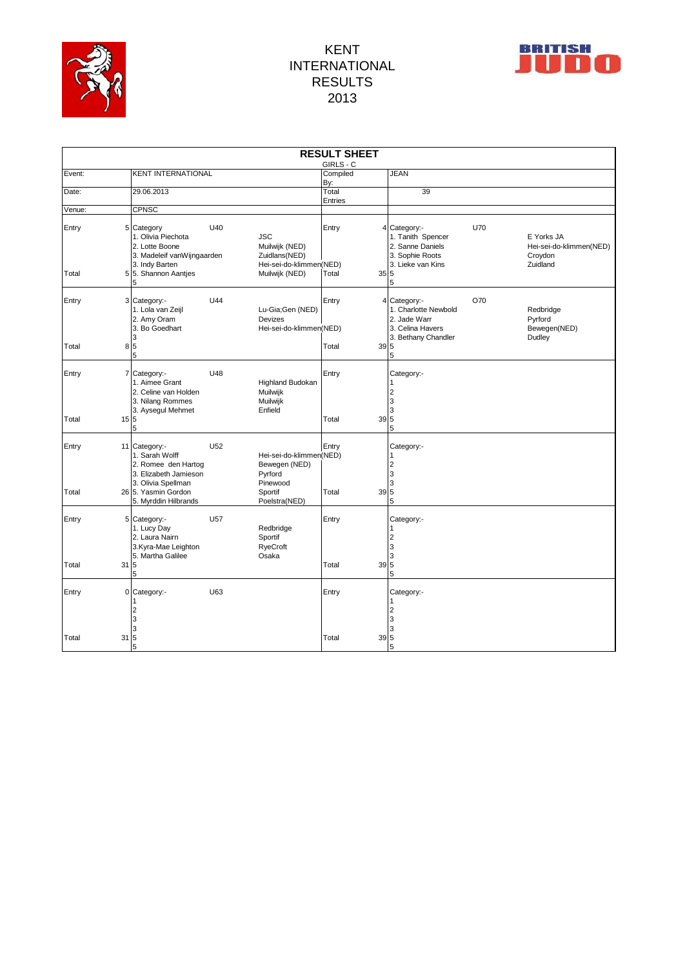



|        |             |                                                                                                       |                 | <b>RESULT SHEET</b>                                                      |                       |                 |                                                                                                 |     |                                                              |
|--------|-------------|-------------------------------------------------------------------------------------------------------|-----------------|--------------------------------------------------------------------------|-----------------------|-----------------|-------------------------------------------------------------------------------------------------|-----|--------------------------------------------------------------|
| Event: |             | <b>KENT INTERNATIONAL</b>                                                                             |                 |                                                                          | GIRLS - C<br>Compiled |                 | <b>JEAN</b>                                                                                     |     |                                                              |
|        |             |                                                                                                       |                 |                                                                          | By:                   |                 |                                                                                                 |     |                                                              |
| Date:  |             | 29.06.2013                                                                                            |                 |                                                                          | Total                 |                 | 39                                                                                              |     |                                                              |
| Venue: |             | <b>CPNSC</b>                                                                                          |                 |                                                                          | Entries               |                 |                                                                                                 |     |                                                              |
|        |             |                                                                                                       |                 |                                                                          |                       |                 |                                                                                                 |     |                                                              |
| Entry  |             | 5 Category<br>1. Olivia Piechota<br>2. Lotte Boone<br>3. Madeleif vanWijngaarden<br>3. Indy Barten    | U40             | <b>JSC</b><br>Muilwijk (NED)<br>Zuidlans(NED)<br>Hei-sei-do-klimmen(NED) | Entry                 |                 | 4 Category:-<br>1. Tanith Spencer<br>2. Sanne Daniels<br>3. Sophie Roots<br>3. Lieke van Kins   | U70 | E Yorks JA<br>Hei-sei-do-klimmen(NED)<br>Croydon<br>Zuidland |
| Total  |             | 5 5. Shannon Aantjes<br>5                                                                             |                 | Muilwijk (NED)                                                           | Total                 | 35 5            | 5                                                                                               |     |                                                              |
| Entry  |             | 3 Category:-<br>1. Lola van Zeijl<br>2. Amy Oram<br>3. Bo Goedhart<br>3                               | U44             | Lu-Gia;Gen (NED)<br><b>Devizes</b><br>Hei-sei-do-klimmen(NED)            | Entry                 |                 | 4 Category:-<br>1. Charlotte Newbold<br>2. Jade Warr<br>3. Celina Havers<br>3. Bethany Chandler | O70 | Redbridge<br>Pyrford<br>Bewegen(NED)<br>Dudley               |
| Total  |             | 85<br>5                                                                                               |                 |                                                                          | Total                 | 39 5            | 5                                                                                               |     |                                                              |
| Entry  |             | 7 Category:-<br>1. Aimee Grant<br>2. Celine van Holden<br>3. Nilang Rommes<br>3. Aysegul Mehmet       | U48             | Highland Budokan<br>Muilwijk<br>Muilwijk<br>Enfield                      | Entry                 |                 | Category:-<br>$\mathbf{1}$<br>$\overline{\mathbf{c}}$<br>3<br>3                                 |     |                                                              |
| Total  | 15 5        | 5                                                                                                     |                 |                                                                          | Total                 | 39 <sub>5</sub> | 5                                                                                               |     |                                                              |
| Entry  |             | 11 Category:-<br>1. Sarah Wolff<br>2. Romee den Hartog<br>3. Elizabeth Jamieson<br>3. Olivia Spellman | U <sub>52</sub> | Hei-sei-do-klimmen(NED)<br>Bewegen (NED)<br>Pyrford<br>Pinewood          | Entry                 |                 | Category:-<br>1<br>$\overline{c}$<br>3<br>3                                                     |     |                                                              |
| Total  |             | 26 5. Yasmin Gordon<br>5. Myrddin Hilbrands                                                           |                 | Sportif<br>Poelstra(NED)                                                 | Total                 | 39              | 5<br>5                                                                                          |     |                                                              |
| Entry  |             | 5 Category:-<br>1. Lucy Day<br>2. Laura Nairn<br>3.Kyra-Mae Leighton<br>5. Martha Galilee             | U57             | Redbridge<br>Sportif<br>RyeCroft<br>Osaka                                | Entry                 |                 | Category:-<br>1<br>$\overline{c}$<br>3<br>3                                                     |     |                                                              |
| Total  | $31\,5$     | 5                                                                                                     |                 |                                                                          | Total                 | 39 5            | 5                                                                                               |     |                                                              |
| Entry  |             | 0 Category:-<br>$\overline{2}$<br>3                                                                   | U63             |                                                                          | Entry                 |                 | Category:-<br>1<br>$\overline{2}$<br>3                                                          |     |                                                              |
| Total  | $31\vert 5$ | 3<br>5                                                                                                |                 |                                                                          | Total                 | 39              | 3<br>5<br>5                                                                                     |     |                                                              |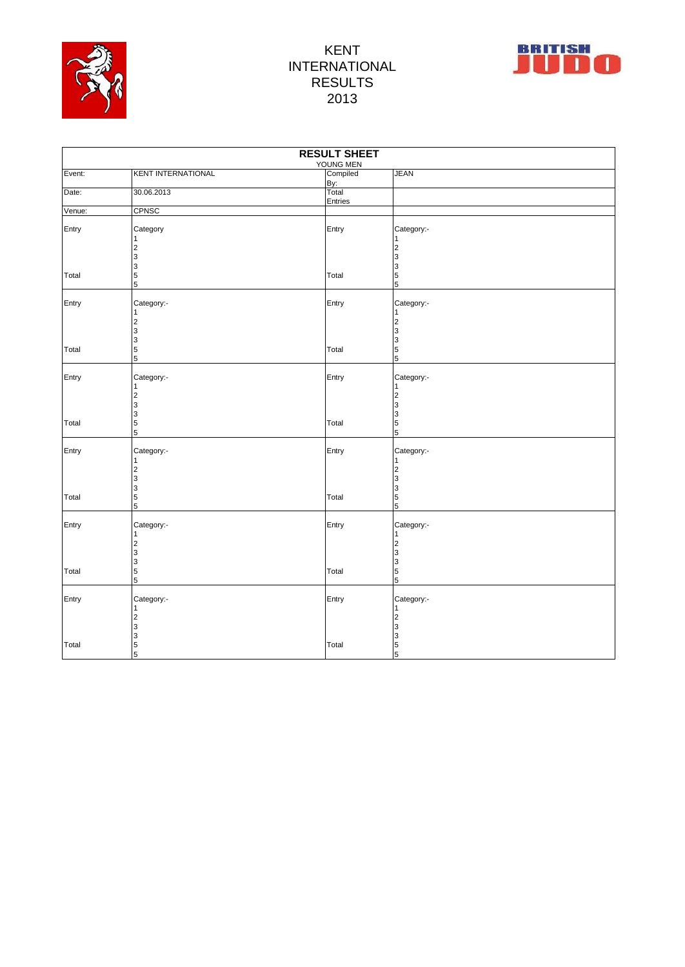



|        | <b>RESULT SHEET</b><br>YOUNG MEN                |                  |                                                 |  |  |  |  |  |
|--------|-------------------------------------------------|------------------|-------------------------------------------------|--|--|--|--|--|
| Event: | <b>KENT INTERNATIONAL</b>                       | Compiled         | <b>JEAN</b>                                     |  |  |  |  |  |
|        |                                                 | By:              |                                                 |  |  |  |  |  |
| Date:  | 30.06.2013                                      | Total<br>Entries |                                                 |  |  |  |  |  |
| Venue: | CPNSC                                           |                  |                                                 |  |  |  |  |  |
|        |                                                 |                  |                                                 |  |  |  |  |  |
| Entry  | Category                                        | Entry            | Category:-                                      |  |  |  |  |  |
|        | 1                                               |                  | 1                                               |  |  |  |  |  |
|        | $\frac{2}{3}$                                   |                  | $\frac{2}{3}$                                   |  |  |  |  |  |
|        | 3                                               |                  | 3                                               |  |  |  |  |  |
| Total  | 5<br>5                                          | Total            | $\frac{5}{5}$                                   |  |  |  |  |  |
|        |                                                 |                  |                                                 |  |  |  |  |  |
| Entry  | Category:-                                      | Entry            | Category:-                                      |  |  |  |  |  |
|        |                                                 |                  |                                                 |  |  |  |  |  |
|        | 2<br>3<br>3<br>5                                |                  | $\begin{array}{c} 2 \\ 3 \\ 3 \end{array}$      |  |  |  |  |  |
|        |                                                 |                  |                                                 |  |  |  |  |  |
| Total  | 5                                               | Total            | $\frac{5}{5}$                                   |  |  |  |  |  |
|        |                                                 |                  |                                                 |  |  |  |  |  |
| Entry  | Category:-                                      | Entry            | Category:-                                      |  |  |  |  |  |
|        | 1                                               |                  | 1                                               |  |  |  |  |  |
|        |                                                 |                  |                                                 |  |  |  |  |  |
|        | 2<br>3<br>3<br>5                                |                  | $\begin{array}{c} 2 \\ 3 \\ 5 \\ 5 \end{array}$ |  |  |  |  |  |
| Total  |                                                 | Total            |                                                 |  |  |  |  |  |
|        | 5                                               |                  |                                                 |  |  |  |  |  |
| Entry  | Category:-                                      | Entry            | Category:-                                      |  |  |  |  |  |
|        | 1                                               |                  | 1                                               |  |  |  |  |  |
|        | $\overline{c}$                                  |                  | $\overline{\mathbf{c}}$                         |  |  |  |  |  |
|        | $\begin{array}{c} 3 \\ 3 \\ 5 \\ 5 \end{array}$ |                  | $\begin{array}{c} 3 \\ 3 \\ 5 \\ 5 \end{array}$ |  |  |  |  |  |
| Total  |                                                 | Total            |                                                 |  |  |  |  |  |
|        |                                                 |                  |                                                 |  |  |  |  |  |
| Entry  | Category:-                                      | Entry            | Category:-                                      |  |  |  |  |  |
|        | 1                                               |                  | 1                                               |  |  |  |  |  |
|        | $\frac{2}{3}$                                   |                  | $\frac{2}{3}$                                   |  |  |  |  |  |
|        |                                                 |                  |                                                 |  |  |  |  |  |
| Total  | $\frac{3}{5}$                                   | Total            | $\frac{3}{5}$                                   |  |  |  |  |  |
|        | 5                                               |                  | 5                                               |  |  |  |  |  |
| Entry  | Category:-                                      | Entry            | Category:-                                      |  |  |  |  |  |
|        | 1                                               |                  |                                                 |  |  |  |  |  |
|        | $\overline{\mathbf{c}}$                         |                  | $\boldsymbol{2}$                                |  |  |  |  |  |
|        | $\frac{3}{3}$                                   |                  | 3                                               |  |  |  |  |  |
| Total  |                                                 | Total            | 35                                              |  |  |  |  |  |
|        | $\begin{array}{c} 5 \\ 5 \end{array}$           |                  |                                                 |  |  |  |  |  |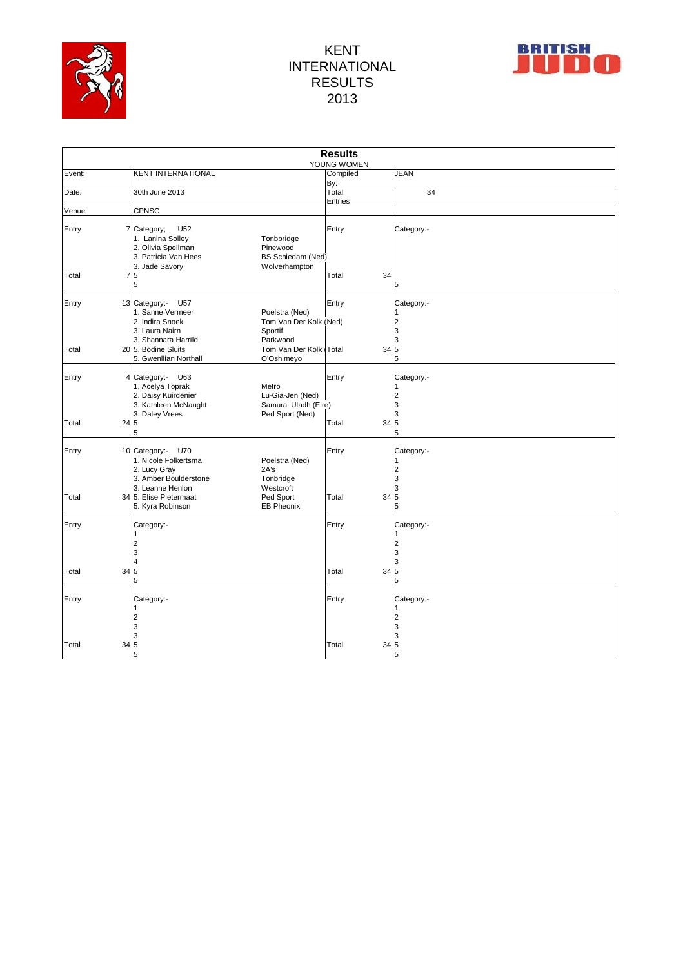



|             |                                                                                                                                                                               | <b>Results</b><br>YOUNG WOMEN |                                                 |
|-------------|-------------------------------------------------------------------------------------------------------------------------------------------------------------------------------|-------------------------------|-------------------------------------------------|
| Event:      | <b>KENT INTERNATIONAL</b>                                                                                                                                                     | Compiled<br>By:               | <b>JEAN</b>                                     |
| Date:       | 30th June 2013                                                                                                                                                                | Total<br>Entries              | 34                                              |
| Venue:      | <b>CPNSC</b>                                                                                                                                                                  |                               |                                                 |
| Entry       | 7 Category;<br>U52<br>1. Lanina Solley<br>Tonbbridge<br>2. Olivia Spellman<br>Pinewood<br>3. Patricia Van Hees<br><b>BS Schiedam (Ned)</b><br>3. Jade Savory<br>Wolverhampton | Entry                         | Category:-                                      |
| Total       | $7\overline{\smash{5}}$<br>5                                                                                                                                                  | 34<br>Total                   | 5                                               |
| Entry       | 13 Category:- U57<br>1. Sanne Vermeer<br>Poelstra (Ned)<br>2. Indira Snoek<br>Tom Van Der Kolk (Ned)<br>3. Laura Nairn<br>Sportif<br>3. Shannara Harrild<br>Parkwood          | Entry                         | Category:-<br>$\overline{\mathbf{c}}$<br>3<br>3 |
| Total       | 2015. Bodine Sluits<br>Tom Van Der Kolk Total<br>5. Gwenllian Northall<br>O'Oshimeyo                                                                                          | 34                            | 5<br>5                                          |
| Entry       | 4 Category:- U63<br>1, Acelya Toprak<br>Metro<br>2. Daisy Kuirdenier<br>Lu-Gia-Jen (Ned)<br>3. Kathleen McNaught<br>Samurai Uladh (Eire)<br>3. Daley Vrees<br>Ped Sport (Ned) | Entry                         | Category:-<br>1<br>$\overline{c}$<br>3<br>3     |
| Total       | 24 5<br>5                                                                                                                                                                     | Total<br>34                   | 5<br>5                                          |
| Entry       | 10 Category:- U70<br>1. Nicole Folkertsma<br>Poelstra (Ned)<br>2. Lucy Gray<br>2A's<br>3. Amber Boulderstone<br>Tonbridge<br>3. Leanne Henlon<br>Westcroft                    | Entry                         | Category:-<br>1<br>$\overline{2}$<br>3<br>3     |
| Total       | 34 5. Elise Pietermaat<br>Ped Sport<br>5. Kyra Robinson<br><b>EB Pheonix</b>                                                                                                  | Total<br>34                   | 5<br>5                                          |
| Entry       | Category:-<br>2<br>3<br>4                                                                                                                                                     | Entry                         | Category:-<br>1<br>$\overline{c}$<br>3<br>3     |
| Total       | 34 <sub>5</sub><br>5                                                                                                                                                          | Total<br>34                   | 5<br>5                                          |
| Entry       | Category:-<br>$\overline{2}$<br>3                                                                                                                                             | Entry                         | Category:-<br>1<br>$\overline{c}$<br>3          |
| Total<br>34 | 3<br>5<br>5                                                                                                                                                                   | Total<br>34                   | 3<br>5<br>5                                     |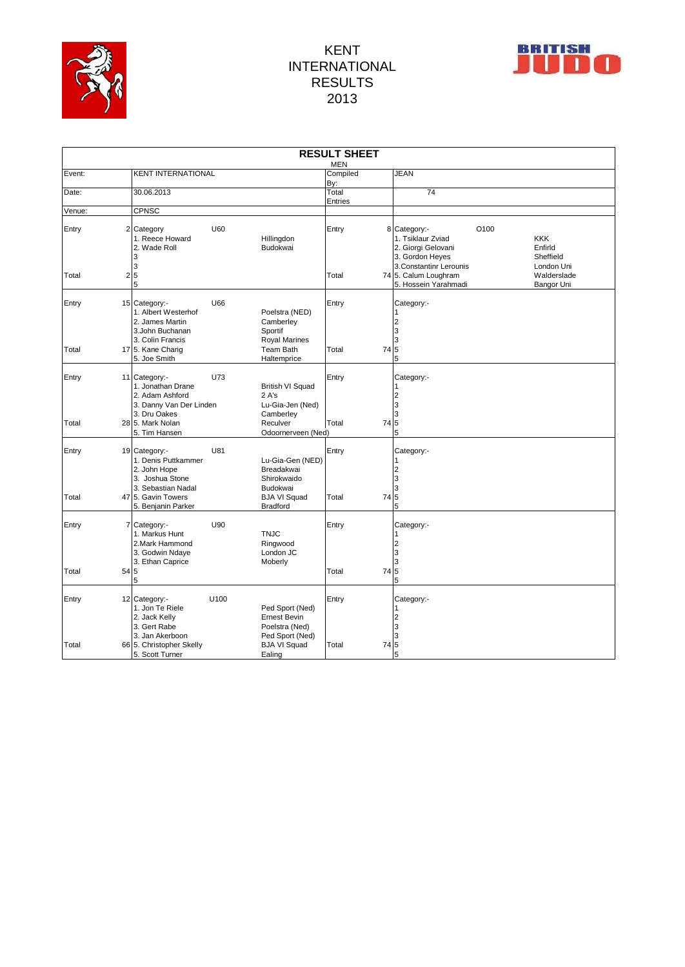



|        | <b>RESULT SHEET</b> |                                                                                                  |      |                                                                             |                        |    |                                                                                                               |                                                  |
|--------|---------------------|--------------------------------------------------------------------------------------------------|------|-----------------------------------------------------------------------------|------------------------|----|---------------------------------------------------------------------------------------------------------------|--------------------------------------------------|
| Event: |                     | <b>KENT INTERNATIONAL</b>                                                                        |      |                                                                             | <b>MEN</b><br>Compiled |    | <b>JEAN</b>                                                                                                   |                                                  |
|        |                     |                                                                                                  |      |                                                                             | By:                    |    |                                                                                                               |                                                  |
| Date:  |                     | 30.06.2013                                                                                       |      |                                                                             | Total<br>Entries       |    | 74                                                                                                            |                                                  |
| Venue: |                     | <b>CPNSC</b>                                                                                     |      |                                                                             |                        |    |                                                                                                               |                                                  |
| Entry  |                     | 2 Category<br>1. Reece Howard<br>2. Wade Roll<br>3<br>3                                          | U60  | Hillingdon<br>Budokwai                                                      | Entry                  |    | O100<br>8 Category:-<br>1. Tsiklaur Zviad<br>2. Giorgi Gelovani<br>3. Gordon Heyes<br>3. Constantinr Lerounis | <b>KKK</b><br>Enfirld<br>Sheffield<br>London Uni |
| Total  | $\overline{2}$      | 5<br>5                                                                                           |      |                                                                             | Total                  |    | 74 5. Calum Loughram<br>5. Hossein Yarahmadi                                                                  | Walderslade<br>Bangor Uni                        |
| Entry  |                     | 15 Category:-<br>1. Albert Westerhof<br>2. James Martin<br>3.John Buchanan<br>3. Colin Francis   | U66  | Poelstra (NED)<br>Camberley<br>Sportif<br><b>Royal Marines</b>              | Entry                  |    | Category:-<br>2<br>3<br>3                                                                                     |                                                  |
| Total  |                     | 17 5. Kane Charig<br>5. Joe Smith                                                                |      | Team Bath<br>Haltemprice                                                    | Total                  | 74 | 5<br>5                                                                                                        |                                                  |
| Entry  |                     | 11 Category:-<br>1. Jonathan Drane<br>2. Adam Ashford<br>3. Danny Van Der Linden<br>3. Dru Oakes | U73  | <b>British VI Squad</b><br>2 A's<br>Lu-Gia-Jen (Ned)<br>Camberley           | Entry                  |    | Category:-<br>1<br>2<br>3<br>3                                                                                |                                                  |
| Total  |                     | 28 5. Mark Nolan<br>5. Tim Hansen                                                                |      | Reculver<br>Odoornerveen (Ned)                                              | Total                  | 74 | 5<br>5                                                                                                        |                                                  |
| Entry  |                     | 19 Category:-<br>1. Denis Puttkammer<br>2. John Hope<br>3. Joshua Stone<br>3. Sebastian Nadal    | U81  | Lu-Gia-Gen (NED)<br>Breadakwai<br>Shirokwaido<br>Budokwai                   | Entry                  |    | Category:-<br>2<br>3<br>3                                                                                     |                                                  |
| Total  |                     | 47 5. Gavin Towers<br>5. Benjanin Parker                                                         |      | <b>BJA VI Squad</b><br><b>Bradford</b>                                      | Total                  | 74 | $\overline{5}$<br>5                                                                                           |                                                  |
| Entry  |                     | 7 Category:-<br>1. Markus Hunt<br>2. Mark Hammond<br>3. Godwin Ndaye<br>3. Ethan Caprice         | U90  | <b>TNJC</b><br>Ringwood<br>London JC<br>Moberly                             | Entry                  |    | Category:-<br>$\overline{c}$<br>3<br>3                                                                        |                                                  |
| Total  |                     | 54 5<br>5                                                                                        |      |                                                                             | Total                  | 74 | 5<br>5                                                                                                        |                                                  |
| Entry  |                     | 12 Category:-<br>1. Jon Te Riele<br>2. Jack Kelly<br>3. Gert Rabe<br>3. Jan Akerboon             | U100 | Ped Sport (Ned)<br><b>Ernest Bevin</b><br>Poelstra (Ned)<br>Ped Sport (Ned) | Entry                  |    | Category:-<br>2<br>3<br>3                                                                                     |                                                  |
| Total  |                     | 66 5. Christopher Skelly<br>5. Scott Turner                                                      |      | <b>BJA VI Squad</b><br>Ealing                                               | Total                  | 74 | 5<br>5                                                                                                        |                                                  |